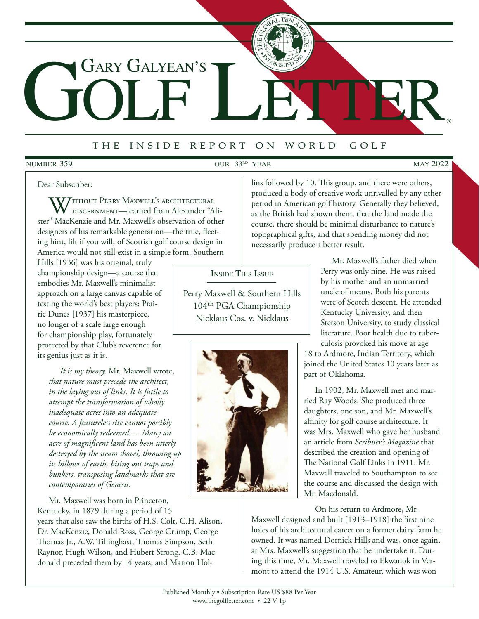# GOLF LETTER GARY GALYEAN'S

# <sup>t</sup> <sup>h</sup> e i <sup>n</sup> <sup>s</sup> <sup>i</sup> <sup>d</sup> e r <sup>e</sup> <sup>p</sup> <sup>o</sup> <sup>r</sup> t o n w <sup>o</sup> <sup>r</sup> <sup>l</sup> d g <sup>o</sup> <sup>l</sup> <sup>f</sup>

#### **NUMBER 359**

NUMBER  $359$  OUR  $33^{RD}$  YEAR MAY 2022

®

#### Dear Subscriber:

**77** ithout Perry Maxwell's architectural discernment—learned from Alexander "Alister" MacKenzie and Mr. Maxwell's observation of other designers of his remarkable generation—the true, fleeting hint, lilt if you will, of Scottish golf course design in America would not still exist in a simple form. Southern

Hills [1936] was his original, truly championship design—a course that embodies Mr. Maxwell's minimalist approach on a large canvas capable of testing the world's best players; Prairie Dunes [1937] his masterpiece, no longer of a scale large enough for championship play, fortunately protected by that Club's reverence for its genius just as it is.

*It is my theory,* Mr. Maxwell wrote, *that nature must precede the architect, in the laying out of links. It is futile to attempt the transformation of wholly inadequate acres into an adequate course. A featureless site cannot possibly be economically redeemed. ... Many an acre of magnificent land has been utterly destroyed by the steam shovel, throwing up its billows of earth, biting out traps and bunkers, transposing landmarks that are contemporaries of Genesis.*

Mr. Maxwell was born in Princeton, Kentucky, in 1879 during a period of 15

years that also saw the births of H.S. Colt, C.H. Alison, Dr. MacKenzie, Donald Ross, George Crump, George Thomas Jr., A.W. Tillinghast, Thomas Simpson, Seth Raynor, Hugh Wilson, and Hubert Strong. C.B. Macdonald preceded them by 14 years, and Marion Hol-

Inside This Issue

Perry Maxwell & Southern Hills 104th PGA Championship Nicklaus Cos. v. Nicklaus



lins followed by 10. This group, and there were others, produced a body of creative work unrivalled by any other period in American golf history. Generally they believed, as the British had shown them, that the land made the course, there should be minimal disturbance to nature's topographical gifts, and that spending money did not necessarily produce a better result.

> Mr. Maxwell's father died when Perry was only nine. He was raised by his mother and an unmarried uncle of means. Both his parents were of Scotch descent. He attended Kentucky University, and then Stetson University, to study classical literature. Poor health due to tuberculosis provoked his move at age

18 to Ardmore, Indian Territory, which joined the United States 10 years later as part of Oklahoma.

In 1902, Mr. Maxwell met and married Ray Woods. She produced three daughters, one son, and Mr. Maxwell's affinity for golf course architecture. It was Mrs. Maxwell who gave her husband an article from *Scribner's Magazine* that described the creation and opening of The National Golf Links in 1911. Mr. Maxwell traveled to Southampton to see the course and discussed the design with Mr. Macdonald.

On his return to Ardmore, Mr. Maxwell designed and built [1913–1918] the first nine holes of his architectural career on a former dairy farm he owned. It was named Dornick Hills and was, once again, at Mrs. Maxwell's suggestion that he undertake it. During this time, Mr. Maxwell traveled to Ekwanok in Vermont to attend the 1914 U.S. Amateur, which was won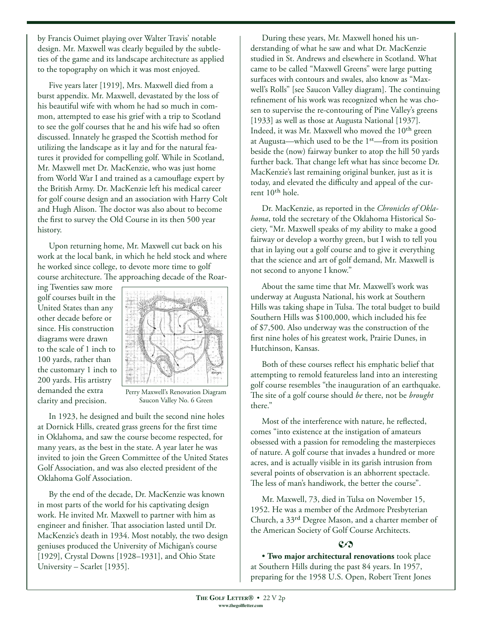by Francis Ouimet playing over Walter Travis' notable design. Mr. Maxwell was clearly beguiled by the subtleties of the game and its landscape architecture as applied to the topography on which it was most enjoyed.

Five years later [1919], Mrs. Maxwell died from a burst appendix. Mr. Maxwell, devastated by the loss of his beautiful wife with whom he had so much in common, attempted to ease his grief with a trip to Scotland to see the golf courses that he and his wife had so often discussed. Innately he grasped the Scottish method for utilizing the landscape as it lay and for the natural features it provided for compelling golf. While in Scotland, Mr. Maxwell met Dr. MacKenzie, who was just home from World War I and trained as a camouflage expert by the British Army. Dr. MacKenzie left his medical career for golf course design and an association with Harry Colt and Hugh Alison. The doctor was also about to become the first to survey the Old Course in its then 500 year history.

Upon returning home, Mr. Maxwell cut back on his work at the local bank, in which he held stock and where he worked since college, to devote more time to golf course architecture. The approaching decade of the Roar-

ing Twenties saw more golf courses built in the United States than any other decade before or since. His construction diagrams were drawn to the scale of 1 inch to 100 yards, rather than the customary 1 inch to 200 yards. His artistry demanded the extra clarity and precision.



Perry Maxwell's Renovation Diagram Saucon Valley No. 6 Green

In 1923, he designed and built the second nine holes at Dornick Hills, created grass greens for the first time in Oklahoma, and saw the course become respected, for many years, as the best in the state. A year later he was invited to join the Green Committee of the United States Golf Association, and was also elected president of the Oklahoma Golf Association.

By the end of the decade, Dr. MacKenzie was known in most parts of the world for his captivating design work. He invited Mr. Maxwell to partner with him as engineer and finisher. That association lasted until Dr. MacKenzie's death in 1934. Most notably, the two design geniuses produced the University of Michigan's course [1929], Crystal Downs [1928–1931], and Ohio State University – Scarlet [1935].

During these years, Mr. Maxwell honed his understanding of what he saw and what Dr. MacKenzie studied in St. Andrews and elsewhere in Scotland. What came to be called "Maxwell Greens" were large putting surfaces with contours and swales, also know as "Maxwell's Rolls" [see Saucon Valley diagram]. The continuing refinement of his work was recognized when he was chosen to supervise the re-contouring of Pine Valley's greens [1933] as well as those at Augusta National [1937]. Indeed, it was Mr. Maxwell who moved the 10<sup>th</sup> green at Augusta—which used to be the 1st—from its position beside the (now) fairway bunker to atop the hill 50 yards further back. That change left what has since become Dr. MacKenzie's last remaining original bunker, just as it is today, and elevated the difficulty and appeal of the current 10<sup>th</sup> hole.

Dr. MacKenzie, as reported in the *Chronicles of Oklahoma*, told the secretary of the Oklahoma Historical Society, "Mr. Maxwell speaks of my ability to make a good fairway or develop a worthy green, but I wish to tell you that in laying out a golf course and to give it everything that the science and art of golf demand, Mr. Maxwell is not second to anyone I know."

About the same time that Mr. Maxwell's work was underway at Augusta National, his work at Southern Hills was taking shape in Tulsa. The total budget to build Southern Hills was \$100,000, which included his fee of \$7,500. Also underway was the construction of the first nine holes of his greatest work, Prairie Dunes, in Hutchinson, Kansas.

Both of these courses reflect his emphatic belief that attempting to remold featureless land into an interesting golf course resembles "the inauguration of an earthquake. The site of a golf course should *be* there, not be *brought* there."

Most of the interference with nature, he reflected, comes "into existence at the instigation of amateurs obsessed with a passion for remodeling the masterpieces of nature. A golf course that invades a hundred or more acres, and is actually visible in its garish intrusion from several points of observation is an abhorrent spectacle. The less of man's handiwork, the better the course".

Mr. Maxwell, 73, died in Tulsa on November 15, 1952. He was a member of the Ardmore Presbyterian Church, a 33rd Degree Mason, and a charter member of the American Society of Golf Course Architects.

## $C<sub>2</sub>$

• **Two major architectural renovations** took place at Southern Hills during the past 84 years. In 1957, preparing for the 1958 U.S. Open, Robert Trent Jones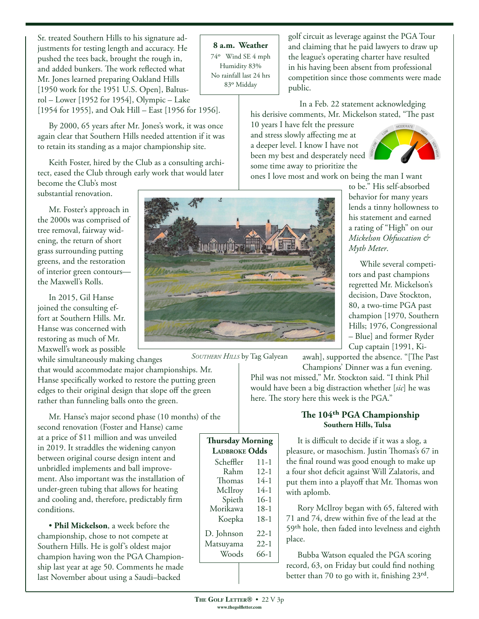Sr. treated Southern Hills to his signature adjustments for testing length and accuracy. He pushed the tees back, brought the rough in, and added bunkers. The work reflected what Mr. Jones learned preparing Oakland Hills [1950 work for the 1951 U.S. Open], Baltusrol – Lower [1952 for 1954], Olympic – Lake [1954 for 1955], and Oak Hill – East [1956 for 1956].

By 2000, 65 years after Mr. Jones's work, it was once again clear that Southern Hills needed attention if it was to retain its standing as a major championship site.

Keith Foster, hired by the Club as a consulting architect, eased the Club through early work that would later

become the Club's most substantial renovation.

Mr. Foster's approach in the 2000s was comprised of tree removal, fairway widening, the return of short grass surrounding putting greens, and the restoration of interior green contours the Maxwell's Rolls.

In 2015, Gil Hanse joined the consulting effort at Southern Hills. Mr. Hanse was concerned with restoring as much of Mr. Maxwell's work as possible

while simultaneously making changes

that would accommodate major championships. Mr. Hanse specifically worked to restore the putting green edges to their original design that slope off the green rather than funneling balls onto the green.

Mr. Hanse's major second phase (10 months) of the second renovation (Foster and Hanse) came at a price of \$11 million and was unveiled in 2019. It straddles the widening canyon between original course design intent and unbridled implements and ball improvement. Also important was the installation of under-green tubing that allows for heating and cooling and, therefore, predictably firm conditions. **Thursday Morning** 

• **Phil Mickelson**, a week before the championship, chose to not compete at Southern Hills. He is golf's oldest major champion having won the PGA Championship last year at age 50. Comments he made last November about using a Saudi–backed

**8 a.m. Weather** 74o Wind SE 4 mph Humidity 83% No rainfall last 24 hrs 83o Midday

golf circuit as leverage against the PGA Tour and claiming that he paid lawyers to draw up the league's operating charter have resulted in his having been absent from professional competition since those comments were made public.

In a Feb. 22 statement acknowledging his derisive comments, Mr. Mickelson stated, "The past

10 years I have felt the pressure and stress slowly affecting me at a deeper level. I know I have not been my best and desperately need some time away to prioritize the



ones I love most and work on being the man I want



*Southern Hills* by Tag Galyean

**Ladbroke Odds**

Morikawa

Scheffler 11-1<br>Rahm 12-1 Rahm 12-1<br>homas 14-1 Thomas 14-1<br>McIlrov 14-1 McIlroy 14-1<br>Spieth 16-1 Spieth 16-1<br>rikawa 18-1

Koepka 18-1 D. Johnson 22-1 Matsuyama 22-1 Woods 66-1

to be." His self-absorbed behavior for many years lends a tinny hollowness to his statement and earned a rating of "High" on our *Mickelson Obfuscation & Myth Meter*.

While several competitors and past champions regretted Mr. Mickelson's decision, Dave Stockton, 80, a two-time PGA past champion [1970, Southern Hills; 1976, Congressional – Blue] and former Ryder Cup captain [1991, Ki-

awah], supported the absence. "[The Past Champions' Dinner was a fun evening.

Phil was not missed," Mr. Stockton said. "I think Phil would have been a big distraction whether [*sic*] he was here. The story here this week is the PGA."

### **The 104th PGA Championship Southern Hills, Tulsa**

It is difficult to decide if it was a slog, a pleasure, or masochism. Justin Thomas's 67 in the final round was good enough to make up a four shot deficit against Will Zalatoris, and put them into a playoff that Mr. Thomas won with aplomb.

Rory McIlroy began with 65, faltered with 71 and 74, drew within five of the lead at the 59th hole, then faded into levelness and eighth place.

Bubba Watson equaled the PGA scoring record, 63, on Friday but could find nothing better than 70 to go with it, finishing 23rd.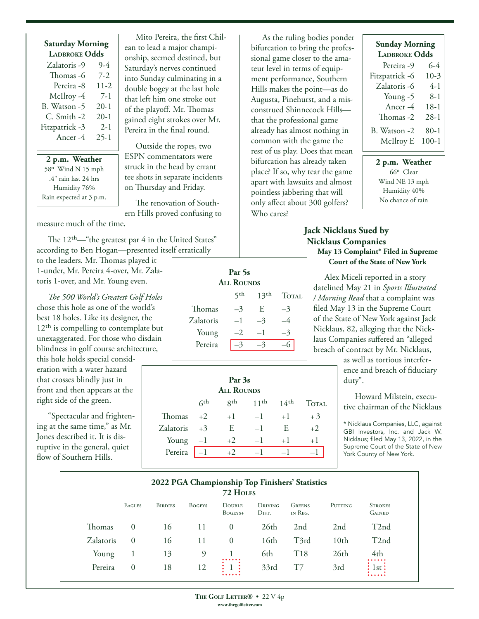|                     | <b>Saturday Morning</b><br><b>LADBROKE Odds</b> |  |  |  |  |  |
|---------------------|-------------------------------------------------|--|--|--|--|--|
| Zalatoris -9        | 9-4                                             |  |  |  |  |  |
| Thomas -6           | 7-2                                             |  |  |  |  |  |
| Pereira -8          | $11 - 2$                                        |  |  |  |  |  |
| McIlroy -4          | 7-1                                             |  |  |  |  |  |
| B. Watson -5        | $20 - 1$                                        |  |  |  |  |  |
| C. Smith -2         | $20-1$                                          |  |  |  |  |  |
| Fitzpatrick -3      | $2 - 1$                                         |  |  |  |  |  |
| Ancer <sub>-4</sub> | $25 - 1$                                        |  |  |  |  |  |
|                     |                                                 |  |  |  |  |  |

**2 p.m. Weather** 58o Wind N 15 mph .4" rain last 24 hrs Humidity 76% Rain expected at 3 p.m.

Mito Pereira, the first Chilean to lead a major championship, seemed destined, but Saturday's nerves continued into Sunday culminating in a double bogey at the last hole that left him one stroke out of the playoff. Mr. Thomas gained eight strokes over Mr. Pereira in the final round.

Outside the ropes, two ESPN commentators were struck in the head by errant tee shots in separate incidents on Thursday and Friday.

The renovation of Southern Hills proved confusing to

measure much of the time.

The 12<sup>th</sup>—"the greatest par 4 in the United States" according to Ben Hogan—presented itself erratically

to the leaders. Mr. Thomas played it 1-under, Mr. Pereira 4-over, Mr. Zalatoris 1-over, and Mr. Young even.

*The 500 World's Greatest Golf Holes* chose this hole as one of the world's best 18 holes. Like its designer, the 12<sup>th</sup> is compelling to contemplate but unexaggerated. For those who disdain blindness in golf course architecture,

this hole holds special consideration with a water hazard that crosses blindly just in front and then appears at the right side of the green.

"Spectacular and frightening at the same time," as Mr. Jones described it. It is disruptive in the general, quiet flow of Southern Hills.

**Par 5s All Rounds**  $5<sup>th</sup>$  13<sup>th</sup> Total Thomas  $-3$  E  $-3$ Zalatoris  $-1$   $-3$   $-4$ Young  $-2$   $-1$   $-3$ Pereira  $\overline{-3}$   $\overline{-3}$   $\overline{-6}$ 

| Par 3s<br><b>ALL ROUNDS</b> |            |             |                  |                  |              |  |  |  |
|-----------------------------|------------|-------------|------------------|------------------|--------------|--|--|--|
|                             | $\zeta$ th | <b>g</b> th | 11 <sup>th</sup> | 14 <sup>th</sup> | <b>TOTAL</b> |  |  |  |
| Thomas                      | $+2$       | $+1$        | $-1$             | $+1$             | $+3$         |  |  |  |
| Zalatoris                   | $+3$       | E           | $-1$             | E                | $+2$         |  |  |  |
| Young                       | $-1$       | $+2$        | $-1$             | $+1$             | $+1$         |  |  |  |
| Pereira                     |            | $+2$        |                  |                  |              |  |  |  |

As the ruling bodies ponder bifurcation to bring the professional game closer to the amateur level in terms of equipment performance, Southern Hills makes the point—as do Augusta, Pinehurst, and a misconstrued Shinnecock Hills that the professional game already has almost nothing in common with the game the rest of us play. Does that mean bifurcation has already taken place? If so, why tear the game apart with lawsuits and almost pointless jabbering that will only affect about 300 golfers? Who cares?

# **Sunday Morning Ladbroke Odds** Pereira -9 6-4 Fitzpatrick -6 10-3 Zalatoris -6 4-1 Young -5 8-1 Ancer -4 18-1 Thomas -2 28-1

B. Watson -2 80-1 McIlroy E 100-1

**2 p.m. Weather** 66o Clear Wind NE 13 mph Humidity 40% No chance of rain

## **Jack Nicklaus Sued by Nicklaus Companies May 13 Complaint\* Filed in Supreme Court of the State of New York**

Alex Miceli reported in a story datelined May 21 in *Sports Illustrated / Morning Read* that a complaint was filed May 13 in the Supreme Court of the State of New York against Jack Nicklaus, 82, alleging that the Nicklaus Companies suffered an "alleged breach of contract by Mr. Nicklaus,

> as well as tortious interference and breach of fiduciary duty".

Howard Milstein, executive chairman of the Nicklaus

\* Nicklaus Companies, LLC, against GBI Investors, Inc. and Jack W. Nicklaus; filed May 13, 2022, in the Supreme Court of the State of New York County of New York.

| 2022 PGA Championship Top Finishers' Statistics<br>72 HOLES |               |                |               |                          |                               |                          |                  |                                 |
|-------------------------------------------------------------|---------------|----------------|---------------|--------------------------|-------------------------------|--------------------------|------------------|---------------------------------|
|                                                             | <b>EAGLES</b> | <b>BIRDIES</b> | <b>BOGEYS</b> | <b>DOUBLE</b><br>BOGEYS+ | DRIVING<br>D <sub>IST</sub> . | <b>GREENS</b><br>IN REG. | PUTTING          | <b>STROKES</b><br><b>GAINED</b> |
| Thomas                                                      | $\theta$      | 16             | 11            | $\Omega$                 | 26th                          | 2 <sub>nd</sub>          | 2 <sub>nd</sub>  | T <sub>2</sub> nd               |
| Zalatoris                                                   | $\Omega$      | 16             | 11            | $\Omega$                 | 16th                          | T3rd                     | 10 <sub>th</sub> | T <sub>2</sub> nd               |
| Young                                                       |               | 13             | 9             |                          | 6th                           | T <sub>18</sub>          | 26th             | 4th                             |
| Pereira                                                     | $\Omega$      | 18             | 12            |                          | 33rd                          |                          | 3rd              | lst :                           |